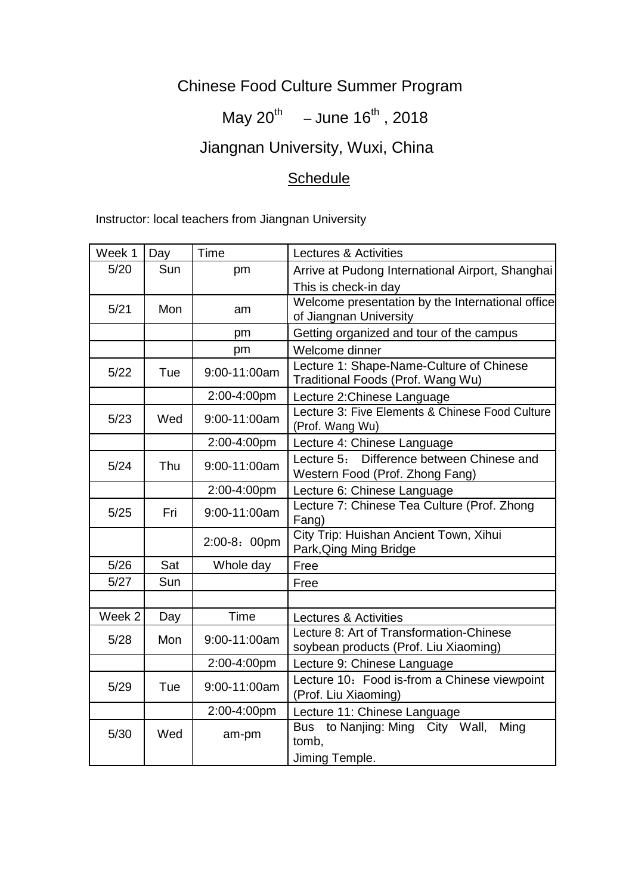## Chinese Food Culture Summer Program

## May 20<sup>th</sup> – June 16<sup>th</sup>, 2018

# Jiangnan University, Wuxi, China

## **Schedule**

Instructor: local teachers from Jiangnan University

| Week 1 | Day | Time         | Lectures & Activities                                                             |
|--------|-----|--------------|-----------------------------------------------------------------------------------|
| 5/20   | Sun | pm           | Arrive at Pudong International Airport, Shanghai                                  |
|        |     |              | This is check-in day                                                              |
| 5/21   | Mon | am           | Welcome presentation by the International office<br>of Jiangnan University        |
|        |     | pm           | Getting organized and tour of the campus                                          |
|        |     | pm           | Welcome dinner                                                                    |
| $5/22$ | Tue | 9:00-11:00am | Lecture 1: Shape-Name-Culture of Chinese<br>Traditional Foods (Prof. Wang Wu)     |
|        |     | 2:00-4:00pm  | Lecture 2: Chinese Language                                                       |
| 5/23   | Wed | 9:00-11:00am | Lecture 3: Five Elements & Chinese Food Culture<br>(Prof. Wang Wu)                |
|        |     | 2:00-4:00pm  | Lecture 4: Chinese Language                                                       |
| 5/24   | Thu | 9:00-11:00am | Lecture 5: Difference between Chinese and<br>Western Food (Prof. Zhong Fang)      |
|        |     | 2:00-4:00pm  | Lecture 6: Chinese Language                                                       |
| $5/25$ | Fri | 9:00-11:00am | Lecture 7: Chinese Tea Culture (Prof. Zhong<br>Fang)                              |
|        |     | 2:00-8: 00pm | City Trip: Huishan Ancient Town, Xihui<br>Park, Qing Ming Bridge                  |
| 5/26   | Sat | Whole day    | Free                                                                              |
| 5/27   | Sun |              | Free                                                                              |
|        |     |              |                                                                                   |
| Week 2 | Day | Time         | Lectures & Activities                                                             |
| 5/28   | Mon | 9:00-11:00am | Lecture 8: Art of Transformation-Chinese<br>soybean products (Prof. Liu Xiaoming) |
|        |     | 2:00-4:00pm  | Lecture 9: Chinese Language                                                       |
| 5/29   | Tue | 9:00-11:00am | Lecture 10: Food is-from a Chinese viewpoint<br>(Prof. Liu Xiaoming)              |
|        |     | 2:00-4:00pm  | Lecture 11: Chinese Language                                                      |
| 5/30   | Wed | am-pm        | Bus to Nanjing: Ming City Wall,<br>Ming<br>tomb,<br>Jiming Temple.                |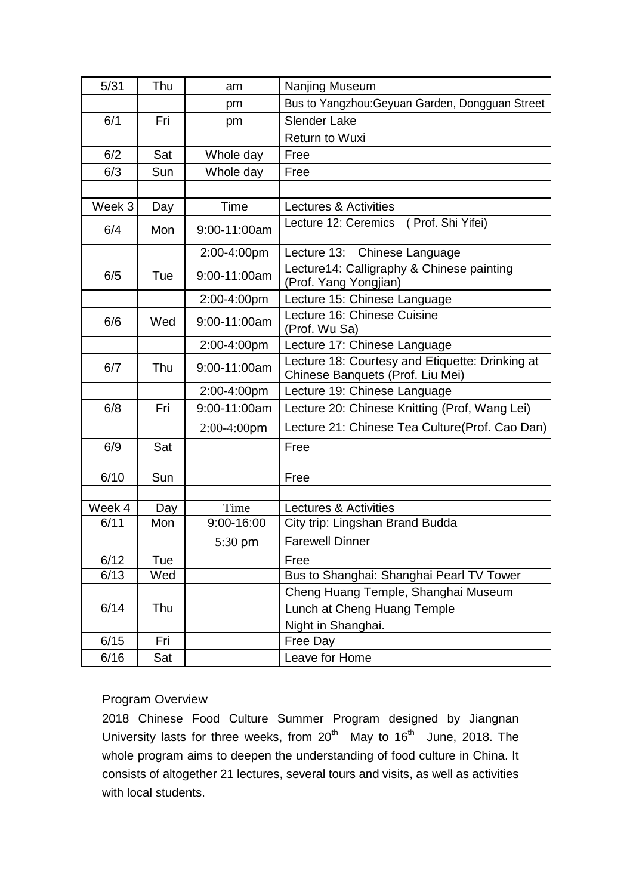| 5/31   | Thu | am             | Nanjing Museum                                                                      |
|--------|-----|----------------|-------------------------------------------------------------------------------------|
|        |     | pm             | Bus to Yangzhou: Geyuan Garden, Dongguan Street                                     |
| 6/1    | Fri | pm             | <b>Slender Lake</b>                                                                 |
|        |     |                | <b>Return to Wuxi</b>                                                               |
| 6/2    | Sat | Whole day      | Free                                                                                |
| 6/3    | Sun | Whole day      | Free                                                                                |
|        |     |                |                                                                                     |
| Week 3 | Day | Time           | Lectures & Activities                                                               |
| 6/4    | Mon | 9:00-11:00am   | (Prof. Shi Yifei)<br>Lecture 12: Ceremics                                           |
|        |     | 2:00-4:00pm    | Lecture 13: Chinese Language                                                        |
| 6/5    | Tue | 9:00-11:00am   | Lecture14: Calligraphy & Chinese painting<br>(Prof. Yang Yongjian)                  |
|        |     | 2:00-4:00pm    | Lecture 15: Chinese Language                                                        |
| 6/6    | Wed | 9:00-11:00am   | Lecture 16: Chinese Cuisine<br>(Prof. Wu Sa)                                        |
|        |     | 2:00-4:00pm    | Lecture 17: Chinese Language                                                        |
| 6/7    | Thu | 9:00-11:00am   | Lecture 18: Courtesy and Etiquette: Drinking at<br>Chinese Banquets (Prof. Liu Mei) |
|        |     | 2:00-4:00pm    | Lecture 19: Chinese Language                                                        |
| 6/8    | Fri | 9:00-11:00am   | Lecture 20: Chinese Knitting (Prof, Wang Lei)                                       |
|        |     | $2:00-4:00$ pm | Lecture 21: Chinese Tea Culture(Prof. Cao Dan)                                      |
| 6/9    | Sat |                | Free                                                                                |
| 6/10   | Sun |                | Free                                                                                |
|        |     |                |                                                                                     |
| Week 4 | Day | Time           | Lectures & Activities                                                               |
| 6/11   | Mon | 9:00-16:00     | City trip: Lingshan Brand Budda                                                     |
|        |     | 5:30 pm        | <b>Farewell Dinner</b>                                                              |
| 6/12   | Tue |                | Free                                                                                |
| 6/13   | Wed |                | Bus to Shanghai: Shanghai Pearl TV Tower                                            |
|        |     |                | Cheng Huang Temple, Shanghai Museum                                                 |
| 6/14   | Thu |                | Lunch at Cheng Huang Temple                                                         |
|        |     |                | Night in Shanghai.                                                                  |
| 6/15   | Fri |                | Free Day                                                                            |
| 6/16   | Sat |                | Leave for Home                                                                      |

## Program Overview

2018 Chinese Food Culture Summer Program designed by Jiangnan University lasts for three weeks, from  $20^{th}$  May to  $16^{th}$  June, 2018. The whole program aims to deepen the understanding of food culture in China. It consists of altogether 21 lectures, several tours and visits, as well as activities with local students.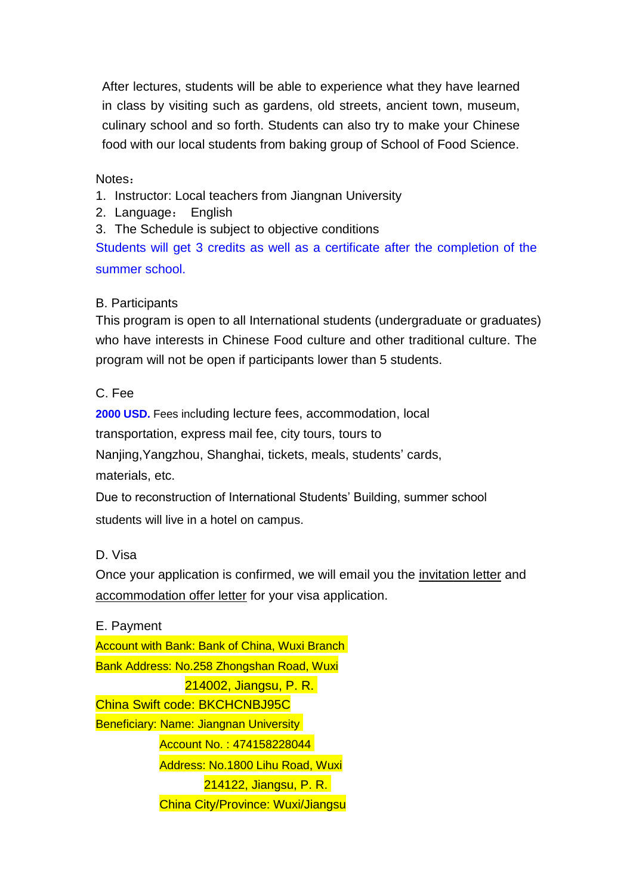After lectures, students will be able to experience what they have learned in class by visiting such as gardens, old streets, ancient town, museum, culinary school and so forth. Students can also try to make your Chinese food with our local students from baking group of School of Food Science.

Notes:

- 1. Instructor: Local teachers from Jiangnan University
- 2. Language: English

3. The Schedule is subject to objective conditions

Students will get 3 credits as well as a certificate after the completion of the summer school.

### B. Participants

This program is open to all International students (undergraduate or graduates) who have interests in Chinese Food culture and other traditional culture. The program will not be open if participants lower than 5 students.

C. Fee

**2000 USD.** Fees including lecture fees, accommodation, local transportation, express mail fee, city tours, tours to Nanjing,Yangzhou, Shanghai, tickets, meals, students' cards, materials, etc.

Due to reconstruction of International Students' Building, summer school students will live in a hotel on campus.

D. Visa

Once your application is confirmed, we will email you the invitation letter and accommodation offer letter for your visa application.

E. Payment Account with Bank: Bank of China, Wuxi Branch Bank Address: No.258 Zhongshan Road, Wuxi 214002, Jiangsu, P. R. China Swift code: BKCHCNBJ95C Beneficiary: Name: Jiangnan University Account No. : 474158228044 Address: No.1800 Lihu Road, Wuxi 214122, Jiangsu, P. R. China City/Province: Wuxi/Jiangsu